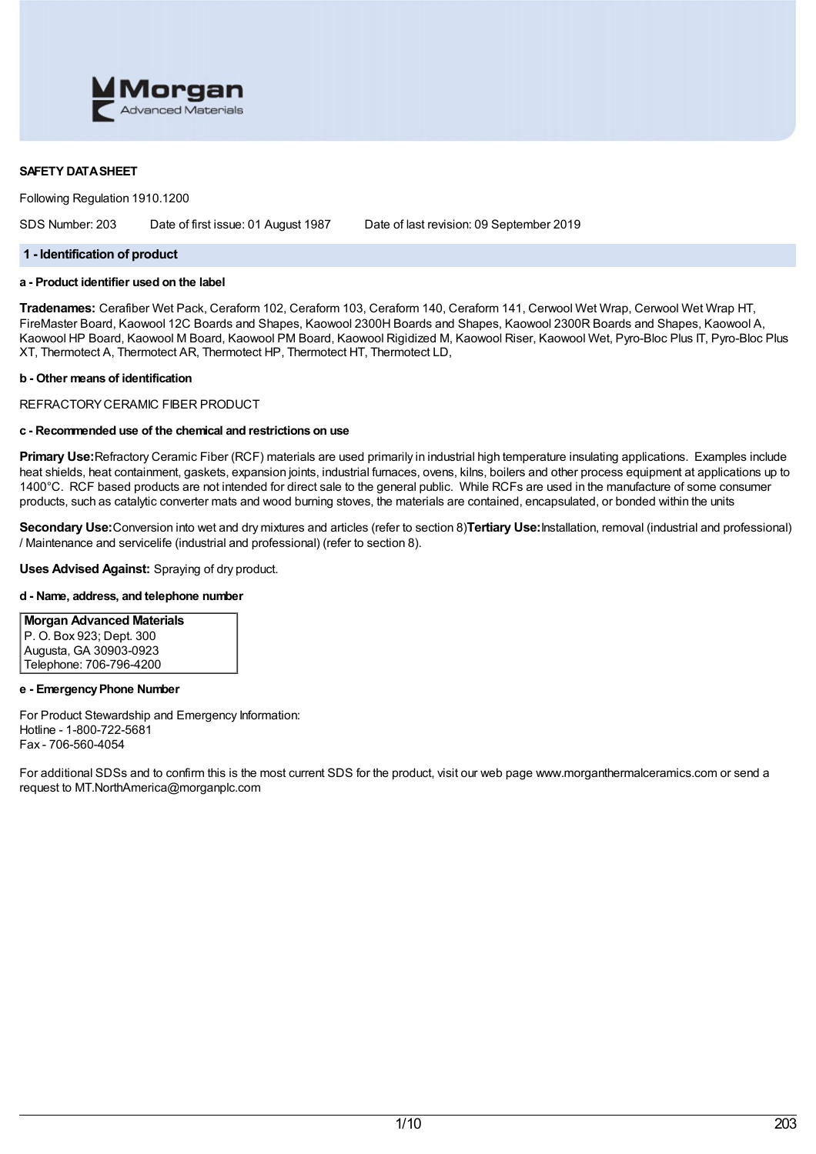

## **SAFETY DATASHEET**

Following Regulation 1910.1200

SDS Number: 203 Date of first issue: 01 August 1987 Date of last revision: 09 September 2019

#### **1 - Identification of product**

## **a - Product identifier used on the label**

**Tradenames:** Cerafiber Wet Pack, Ceraform 102, Ceraform 103, Ceraform 140, Ceraform 141, Cerwool Wet Wrap, Cerwool Wet Wrap HT, FireMaster Board, Kaowool 12C Boards and Shapes, Kaowool 2300H Boards and Shapes, Kaowool 2300R Boards and Shapes, Kaowool A, Kaowool HP Board, Kaowool M Board, Kaowool PM Board, Kaowool Rigidized M, Kaowool Riser, Kaowool Wet, Pyro-Bloc Plus IT, Pyro-Bloc Plus XT, Thermotect A, Thermotect AR, Thermotect HP, Thermotect HT, Thermotect LD,

#### **b - Other means of identification**

REFRACTORYCERAMIC FIBER PRODUCT

#### **c - Recommended use of the chemical and restrictions on use**

**Primary Use:**Refractory Ceramic Fiber (RCF) materials are used primarily in industrial high temperature insulating applications. Examples include heat shields, heat containment, gaskets, expansion joints, industrial furnaces, ovens, kilns, boilers and other process equipment at applications up to 1400°C. RCF based products are not intended for direct sale to the general public. While RCFs are used in the manufacture of some consumer products, such as catalytic converter mats and wood burning stoves, the materials are contained, encapsulated, or bonded within the units

**Secondary Use:**Conversion into wet and dry mixtures and articles (refer to section 8)**Tertiary Use:**Installation, removal (industrial and professional) / Maintenance and servicelife (industrial and professional) (refer to section 8).

**Uses Advised Against:** Spraying of dry product.

## **d - Name, address, and telephone number**

**Morgan Advanced Materials** P. O. Box 923; Dept. 300 Augusta, GA 30903-0923 Telephone: 706-796-4200

#### **e - EmergencyPhone Number**

For Product Stewardship and Emergency Information: Hotline - 1-800-722-5681 Fax - 706-560-4054

For additional SDSs and to confirm this is the most current SDS for the product, visit our web page www.morganthermalceramics.com or send a request to MT.NorthAmerica@morganplc.com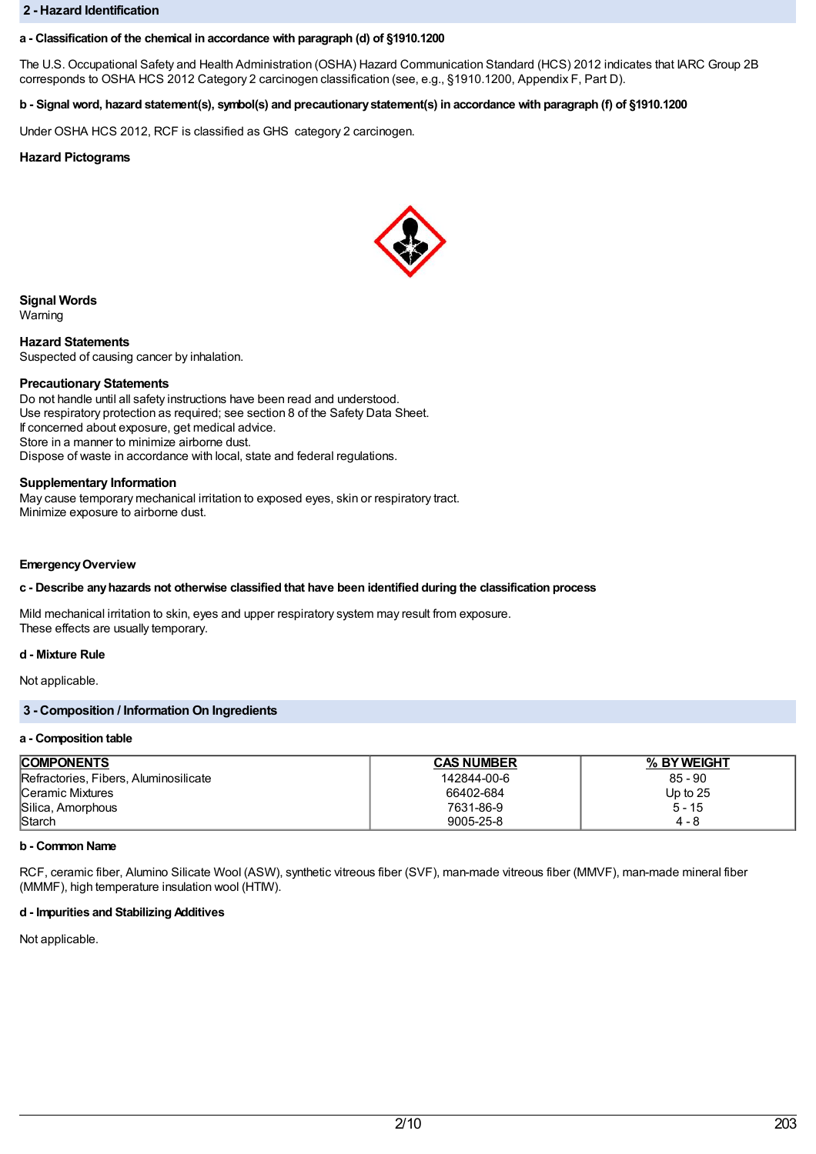#### **2 - Hazard Identification**

## **a - Classification of the chemical in accordance with paragraph (d) of §1910.1200**

The U.S. Occupational Safety and Health Administration (OSHA) Hazard Communication Standard (HCS) 2012 indicates that IARC Group 2B corresponds to OSHA HCS 2012 Category 2 carcinogen classification (see, e.g., §1910.1200, Appendix F, Part D).

# b - Signal word, hazard statement(s), symbol(s) and precautionary statement(s) in accordance with paragraph (f) of §1910.1200

Under OSHA HCS 2012, RCF is classified as GHS category 2 carcinogen.

## **Hazard Pictograms**



**Signal Words**

Warning

**Hazard Statements** Suspected of causing cancer by inhalation.

#### **Precautionary Statements**

Do not handle until all safety instructions have been read and understood. Use respiratory protection as required; see section 8 of the Safety Data Sheet. If concerned about exposure, get medical advice. Store in a manner to minimize airborne dust. Dispose of waste in accordance with local, state and federal regulations.

#### **Supplementary Information**

May cause temporary mechanical irritation to exposed eyes, skin or respiratory tract. Minimize exposure to airborne dust.

#### **EmergencyOverview**

## **c - Describe anyhazards not otherwise classified that have been identified during the classification process**

Mild mechanical irritation to skin, eyes and upper respiratory system may result from exposure. These effects are usually temporary.

## **d - Mixture Rule**

Not applicable.

# **3 - Composition / Information On Ingredients**

#### **a - Composition table**

| <b>COMPONENTS</b>                     | <b>CAS NUMBER</b> | % BY WEIGHT |
|---------------------------------------|-------------------|-------------|
| Refractories, Fibers, Aluminosilicate | 142844-00-6       | $85 - 90$   |
| Ceramic Mixtures                      | 66402-684         | Up to $25$  |
| Silica, Amorphous                     | 7631-86-9         | 5 - 15      |
| Starch                                | 9005-25-8         | 4 - 8       |

## **b - Common Name**

RCF, ceramic fiber, Alumino Silicate Wool (ASW), synthetic vitreous fiber (SVF), man-made vitreous fiber (MMVF), man-made mineral fiber (MMMF), high temperature insulation wool (HTIW).

## **d - Impurities and Stabilizing Additives**

Not applicable.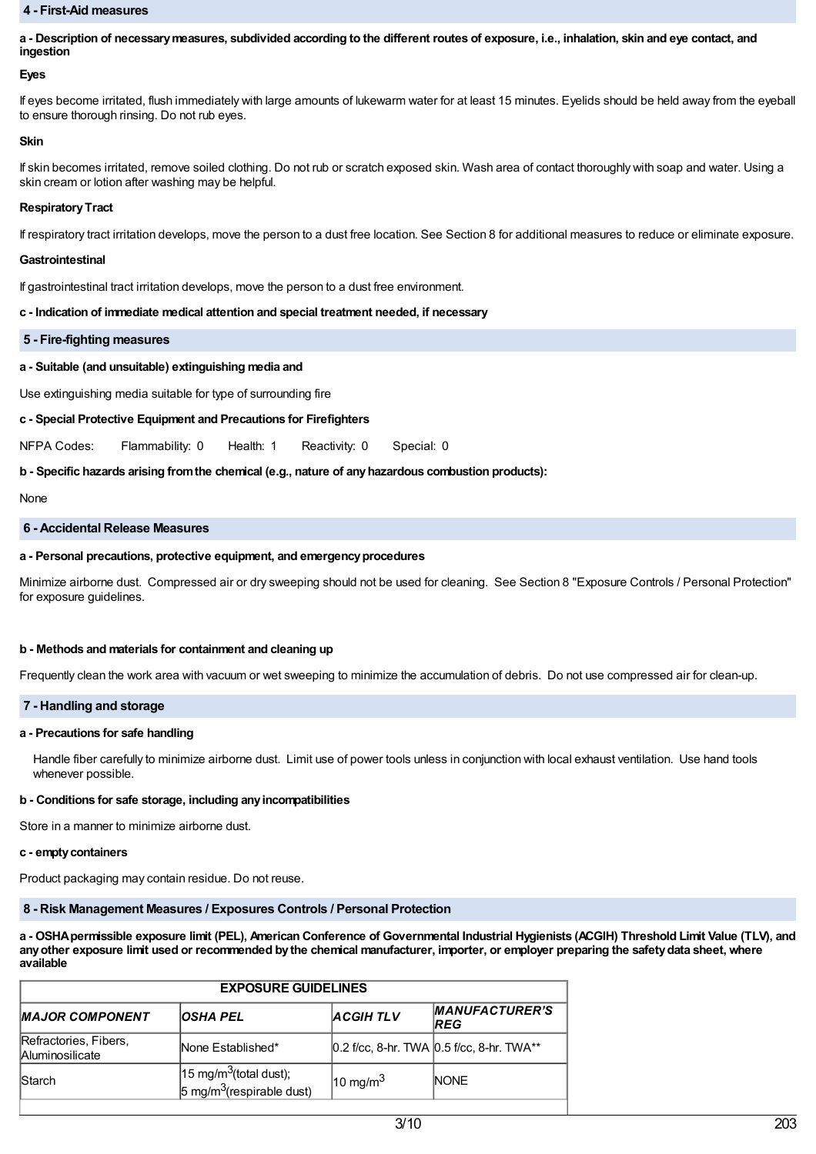#### **4 - First-Aid measures**

a - Description of necessary measures, subdivided according to the different routes of exposure, i.e., inhalation, skin and eye contact, and **ingestion**

#### **Eyes**

If eyes become irritated, flush immediately with large amounts of lukewarm water for at least 15 minutes. Eyelids should be held away from the eyeball to ensure thorough rinsing. Do not rub eyes.

#### **Skin**

If skin becomes irritated, remove soiled clothing. Do not rub or scratch exposed skin. Wash area of contact thoroughly with soap and water. Using a skin cream or lotion after washing may be helpful.

#### **Respiratory Tract**

If respiratory tract irritation develops, move the person to a dust free location. See Section 8 for additional measures to reduce or eliminate exposure.

#### **Gastrointestinal**

If gastrointestinal tract irritation develops, move the person to a dust free environment.

#### **c - Indication of immediate medical attention and special treatment needed, if necessary**

#### **5 - Fire-fighting measures**

## **a - Suitable (and unsuitable) extinguishing media and**

Use extinguishing media suitable for type of surrounding fire

## **c - Special Protective Equipment and Precautions for Firefighters**

NFPA Codes: Flammability: 0 Health: 1 Reactivity: 0 Special: 0

## **b - Specific hazards arising fromthe chemical (e.g., nature of anyhazardous combustion products):**

None

#### **6 - Accidental Release Measures**

#### **a - Personal precautions, protective equipment, and emergencyprocedures**

Minimize airborne dust. Compressed air or dry sweeping should not be used for cleaning. See Section 8 "Exposure Controls / Personal Protection" for exposure guidelines.

#### **b - Methods and materials for containment and cleaning up**

Frequently clean the work area with vacuum or wet sweeping to minimize the accumulation of debris. Do not use compressed air for clean-up.

## **7 - Handling and storage**

#### **a - Precautions for safe handling**

Handle fiber carefully to minimize airborne dust. Limit use of power tools unless in conjunction with local exhaust ventilation. Use hand tools whenever possible.

## **b - Conditions for safe storage, including anyincompatibilities**

Store in a manner to minimize airborne dust.

#### **c - emptycontainers**

Product packaging may contain residue. Do not reuse.

# **8 - Risk Management Measures / Exposures Controls / Personal Protection**

a - OSHA permissible exposure limit (PEL), American Conference of Governmental Industrial Hygienists (ACGIH) Threshold Limit Value (TLV), and any other exposure limit used or recommended by the chemical manufacturer, importer, or employer preparing the safety data sheet, where **available**

| <b>EXPOSURE GUIDELINES</b>                      |                                                                            |                     |                                           |  |
|-------------------------------------------------|----------------------------------------------------------------------------|---------------------|-------------------------------------------|--|
| <b>MAJOR COMPONENT</b>                          | <b>OSHA PEL</b>                                                            | <b>ACGIHTLV</b>     | <b>MANUFACTURER'S</b><br><b>IREG</b>      |  |
| Refractories, Fibers,<br><b>Aluminosilicate</b> | None Established*                                                          |                     | 0.2 f/cc, 8-hr. TWA 0.5 f/cc, 8-hr. TWA** |  |
| <b>Starch</b>                                   | $15 \text{ mg/m}^3$ (total dust);<br>5 mg/m <sup>3</sup> (respirable dust) | $10 \text{ mg/m}^3$ | <b>NONE</b>                               |  |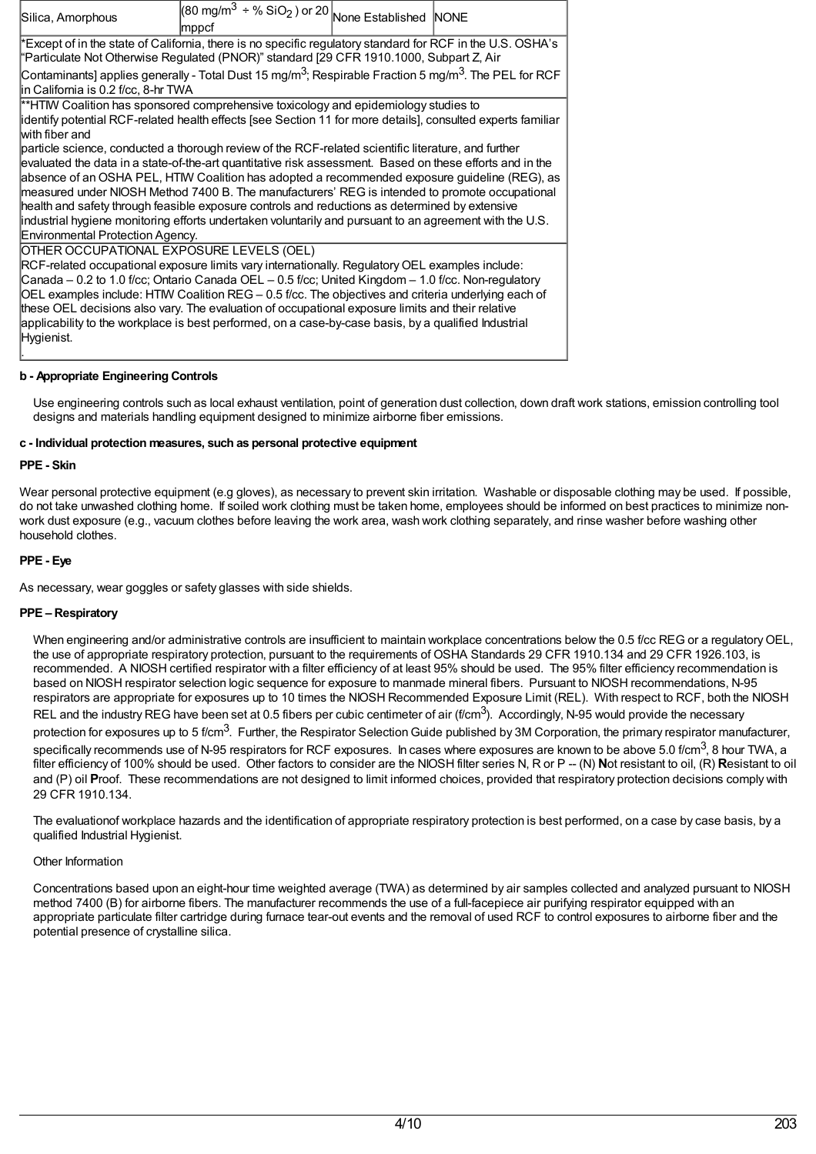| Silica, Amorphous                                                                                                                                                                                                                                                                                                                                                                                                                                                                                                                                                                                                                                                   | $(80 \text{ mg/m}^3 \div \% \text{ SiO}_2)$ or 20 None Established NONE<br> mppcf |  |  |  |
|---------------------------------------------------------------------------------------------------------------------------------------------------------------------------------------------------------------------------------------------------------------------------------------------------------------------------------------------------------------------------------------------------------------------------------------------------------------------------------------------------------------------------------------------------------------------------------------------------------------------------------------------------------------------|-----------------------------------------------------------------------------------|--|--|--|
| Except of in the state of California, there is no specific regulatory standard for RCF in the U.S. OSHA's<br>"Particulate Not Otherwise Regulated (PNOR)" standard [29 CFR 1910.1000, Subpart Z, Air                                                                                                                                                                                                                                                                                                                                                                                                                                                                |                                                                                   |  |  |  |
| Contaminants] applies generally - Total Dust 15 mg/m <sup>3</sup> ; Respirable Fraction 5 mg/m <sup>3</sup> . The PEL for RCF<br>in California is 0.2 f/cc, 8-hr TWA                                                                                                                                                                                                                                                                                                                                                                                                                                                                                                |                                                                                   |  |  |  |
| **HTM Coalition has sponsored comprehensive toxicology and epidemiology studies to<br>identify potential RCF-related health effects [see Section 11 for more details], consulted experts familiar<br>with fiber and                                                                                                                                                                                                                                                                                                                                                                                                                                                 |                                                                                   |  |  |  |
| particle science, conducted a thorough review of the RCF-related scientific literature, and further<br>evaluated the data in a state-of-the-art quantitative risk assessment. Based on these efforts and in the<br>absence of an OSHA PEL, HTIW Coalition has adopted a recommended exposure guideline (REG), as<br>measured under NIOSH Method 7400 B. The manufacturers' REG is intended to promote occupational<br>health and safety through feasible exposure controls and reductions as determined by extensive<br>industrial hygiene monitoring efforts undertaken voluntarily and pursuant to an agreement with the U.S.<br>Environmental Protection Agency. |                                                                                   |  |  |  |
| OTHER OCCUPATIONAL EXPOSURE LEVELS (OEL)<br>RCF-related occupational exposure limits vary internationally. Regulatory OEL examples include:<br>Canada - 0.2 to 1.0 f/cc; Ontario Canada OEL - 0.5 f/cc; United Kingdom - 1.0 f/cc. Non-regulatory<br>OEL examples include: HTMV Coalition REG $-$ 0.5 f/cc. The objectives and criteria underlying each of<br>these OEL decisions also vary. The evaluation of occupational exposure limits and their relative<br>applicability to the workplace is best performed, on a case-by-case basis, by a qualified Industrial<br>Hygienist.                                                                                |                                                                                   |  |  |  |

# **b - Appropriate Engineering Controls**

Use engineering controls such as local exhaust ventilation, point of generation dust collection, down draft work stations, emission controlling tool designs and materials handling equipment designed to minimize airborne fiber emissions.

## **c - Individual protection measures, such as personal protective equipment**

#### **PPE - Skin**

Wear personal protective equipment (e.g gloves), as necessary to prevent skin irritation. Washable or disposable clothing may be used. If possible, do not take unwashed clothing home. If soiled work clothing must be taken home, employees should be informed on best practices to minimize nonwork dust exposure (e.g., vacuum clothes before leaving the work area, wash work clothing separately, and rinse washer before washing other household clothes.

## **PPE - Eye**

As necessary, wear goggles or safety glasses with side shields.

#### **PPE – Respiratory**

When engineering and/or administrative controls are insufficient to maintain workplace concentrations below the 0.5 f/cc REG or a regulatory OEL. the use of appropriate respiratory protection, pursuant to the requirements of OSHA Standards 29 CFR 1910.134 and 29 CFR 1926.103, is recommended. A NIOSH certified respirator with a filter efficiency of at least 95% should be used. The 95% filter efficiency recommendation is based on NIOSH respirator selection logic sequence for exposure to manmade mineral fibers. Pursuant to NIOSH recommendations, N-95 respirators are appropriate for exposures up to 10 times the NIOSH Recommended Exposure Limit (REL). With respect to RCF, both the NIOSH REL and the industry REG have been set at 0.5 fibers per cubic centimeter of air (f/cm<sup>3</sup>). Accordingly, N-95 would provide the necessary protection for exposures up to 5 f/cm<sup>3</sup>. Further, the Respirator Selection Guide published by 3M Corporation, the primary respirator manufacturer, specifically recommends use of N-95 respirators for RCF exposures. In cases where exposures are known to be above 5.0 f/cm $^3$ , 8 hour TWA, a filter efficiency of 100% should be used. Other factors to consider are the NIOSH filter series N, R or P -- (N) Not resistant to oil, (R) Resistant to oil and (P) oil **P**roof. These recommendations are not designed to limit informed choices, provided that respiratory protection decisions comply with 29 CFR 1910.134.

The evaluationof workplace hazards and the identification of appropriate respiratory protection is best performed, on a case by case basis, by a qualified Industrial Hygienist.

## Other Information

Concentrations based upon an eight-hour time weighted average (TWA) as determined by air samples collected and analyzed pursuant to NIOSH method 7400 (B) for airborne fibers. The manufacturer recommends the use of a full-facepiece air purifying respirator equipped with an appropriate particulate filter cartridge during furnace tear-out events and the removal of used RCF to control exposures to airborne fiber and the potential presence of crystalline silica.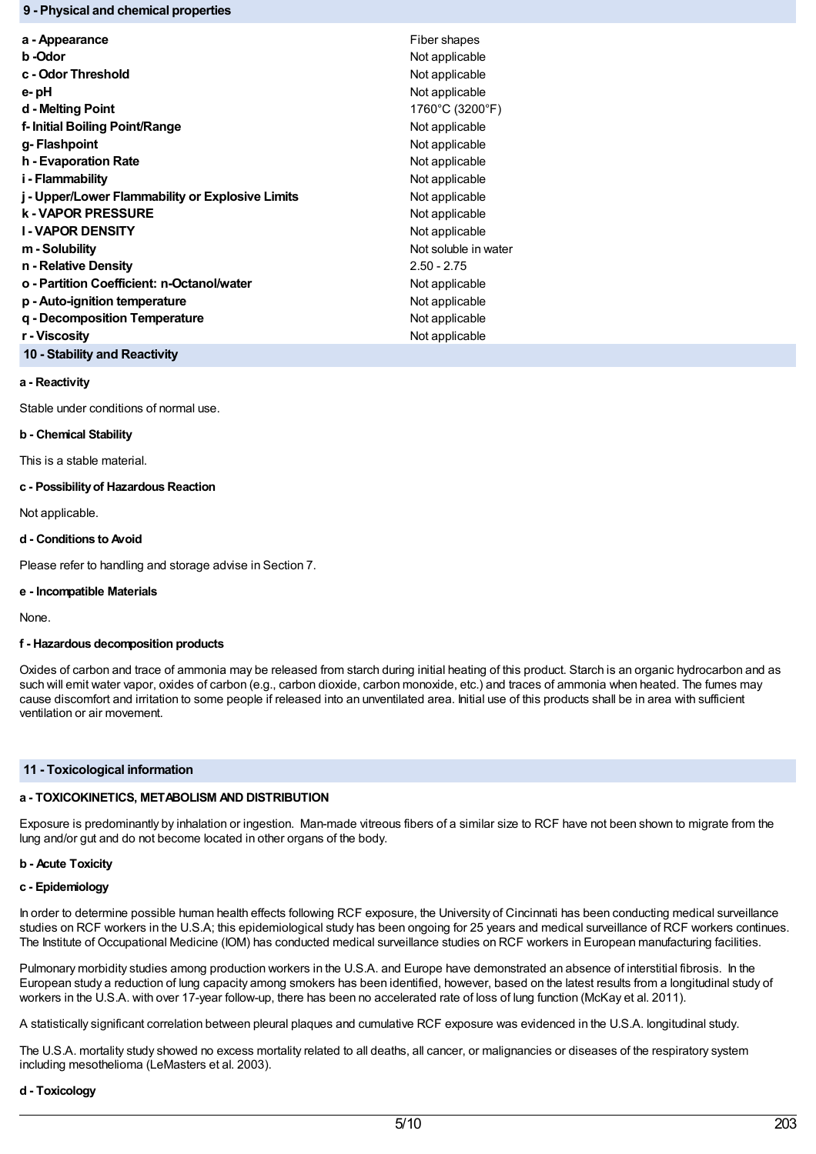## **9 - Physical and chemical properties**

| a - Appearance                                   | Fiber shapes         |
|--------------------------------------------------|----------------------|
| b -Odor                                          | Not applicable       |
| c - Odor Threshold                               | Not applicable       |
| e- pH                                            | Not applicable       |
| d - Melting Point                                | 1760°C (3200°F)      |
| f- Initial Boiling Point/Range                   | Not applicable       |
| g- Flashpoint                                    | Not applicable       |
| h - Evaporation Rate                             | Not applicable       |
| i - Flammability                                 | Not applicable       |
| j - Upper/Lower Flammability or Explosive Limits | Not applicable       |
| <b>k - VAPOR PRESSURE</b>                        | Not applicable       |
| <b>I-VAPOR DENSITY</b>                           | Not applicable       |
| m - Solubility                                   | Not soluble in water |
| n - Relative Density                             | $2.50 - 2.75$        |
| o - Partition Coefficient: n-Octanol/water       | Not applicable       |
| p - Auto-ignition temperature                    | Not applicable       |
| g - Decomposition Temperature                    | Not applicable       |
| r - Viscosity                                    | Not applicable       |
| 10 - Stability and Reactivity                    |                      |

#### **a - Reactivity**

Stable under conditions of normal use.

#### **b - Chemical Stability**

This is a stable material.

## **c - Possibilityof Hazardous Reaction**

Not applicable.

## **d - Conditions to Avoid**

Please refer to handling and storage advise in Section 7.

## **e - Incompatible Materials**

None.

## **f - Hazardous decomposition products**

Oxides of carbon and trace of ammonia may be released from starch during initial heating of this product. Starch is an organic hydrocarbon and as such will emit water vapor, oxides of carbon (e.g., carbon dioxide, carbon monoxide, etc.) and traces of ammonia when heated. The fumes may cause discomfort and irritation to some people if released into an unventilated area. Initial use of this products shall be in area with sufficient ventilation or air movement.

## **11 - Toxicological information**

## **a - TOXICOKINETICS, METABOLISM AND DISTRIBUTION**

Exposure is predominantly by inhalation or ingestion. Man-made vitreous fibers of a similar size to RCF have not been shown to migrate from the lung and/or gut and do not become located in other organs of the body.

## **b - Acute Toxicity**

#### **c - Epidemiology**

In order to determine possible human health effects following RCF exposure, the University of Cincinnati has been conducting medical surveillance studies on RCF workers in the U.S.A; this epidemiological study has been ongoing for 25 years and medical surveillance of RCF workers continues. The Institute of Occupational Medicine (IOM) has conducted medical surveillance studies on RCF workers in European manufacturing facilities.

Pulmonary morbidity studies among production workers in the U.S.A. and Europe have demonstrated an absence of interstitial fibrosis. In the European study a reduction of lung capacity among smokers has been identified, however, based on the latest results from a longitudinal study of workers in the U.S.A. with over 17-year follow-up, there has been no accelerated rate of loss of lung function (McKay et al. 2011).

A statistically significant correlation between pleural plaques and cumulative RCF exposure was evidenced in the U.S.A. longitudinal study.

The U.S.A. mortality study showed no excess mortality related to all deaths, all cancer, or malignancies or diseases of the respiratory system including mesothelioma (LeMasters et al. 2003).

#### **d - Toxicology**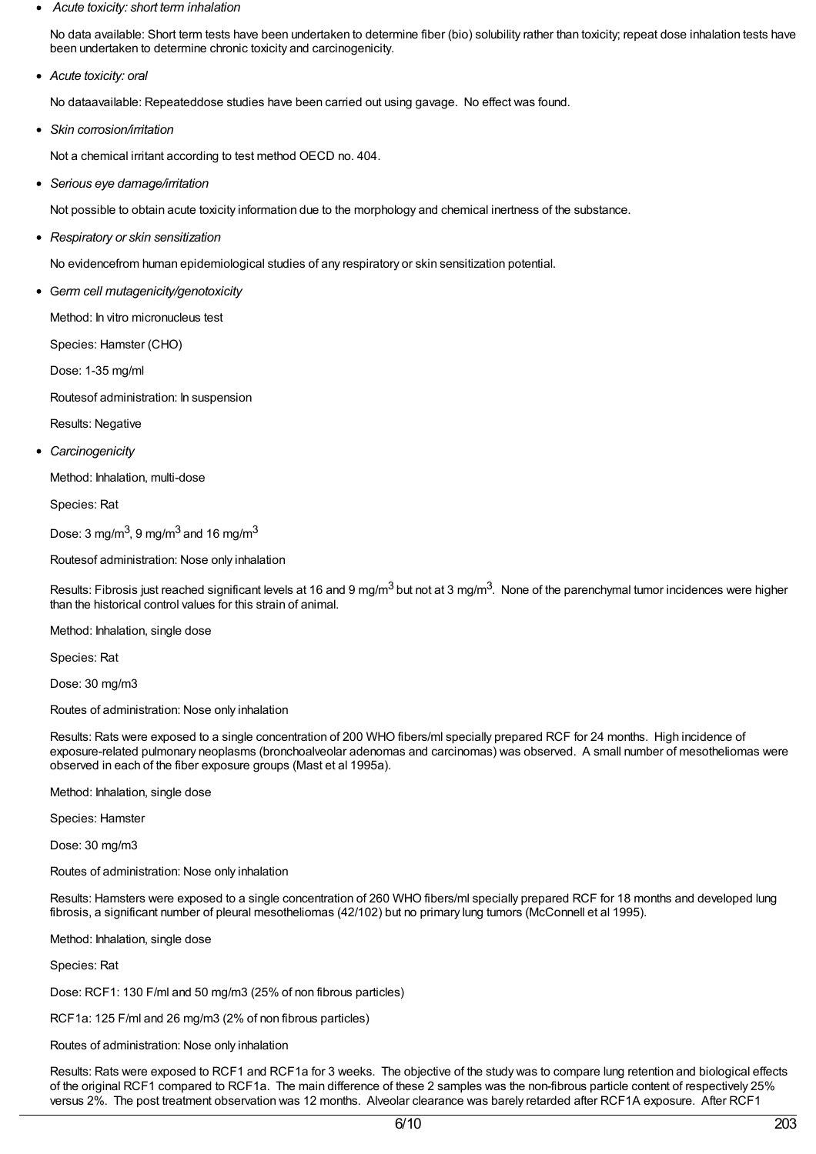*Acute toxicity: short term inhalation*

No data available: Short term tests have been undertaken to determine fiber (bio) solubility rather than toxicity; repeat dose inhalation tests have been undertaken to determine chronic toxicity and carcinogenicity.

*Acute toxicity: oral*

No dataavailable: Repeateddose studies have been carried out using gavage. No effect was found.

*Skin corrosion/irritation*

Not a chemical irritant according to test method OECD no. 404.

*Serious eye damage/irritation*

Not possible to obtain acute toxicity information due to the morphology and chemical inertness of the substance.

*Respiratory or skin sensitization*

No evidencefrom human epidemiological studies of any respiratory or skin sensitization potential.

G*erm cell mutagenicity/genotoxicity*

Method: In vitro micronucleus test

Species: Hamster (CHO)

Dose: 1-35 mg/ml

Routesof administration: In suspension

Results: Negative

*Carcinogenicity*

Method: Inhalation, multi-dose

Species: Rat

Dose: 3 mg/m $^3$ , 9 mg/m $^3$  and 16 mg/m $^3$ 

Routesof administration: Nose only inhalation

Results: Fibrosis just reached significant levels at 16 and 9 mg/m<sup>3</sup> but not at 3 mg/m<sup>3</sup>. None of the parenchymal tumor incidences were higher than the historical control values for this strain of animal.

Method: Inhalation, single dose

Species: Rat

Dose: 30 mg/m3

Routes of administration: Nose only inhalation

Results: Rats were exposed to a single concentration of 200 WHO fibers/ml specially prepared RCF for 24 months. High incidence of exposure-related pulmonary neoplasms (bronchoalveolar adenomas and carcinomas) was observed. A small number of mesotheliomas were observed in each of the fiber exposure groups (Mast et al 1995a).

Method: Inhalation, single dose

Species: Hamster

Dose: 30 mg/m3

Routes of administration: Nose only inhalation

Results: Hamsters were exposed to a single concentration of 260 WHO fibers/ml specially prepared RCF for 18 months and developed lung fibrosis, a significant number of pleural mesotheliomas (42/102) but no primary lung tumors (McConnell et al 1995).

Method: Inhalation, single dose

Species: Rat

Dose: RCF1: 130 F/ml and 50 mg/m3 (25% of non fibrous particles)

RCF1a: 125 F/ml and 26 mg/m3 (2% of non fibrous particles)

Routes of administration: Nose only inhalation

Results: Rats were exposed to RCF1 and RCF1a for 3 weeks. The objective of the study was to compare lung retention and biological effects of the original RCF1 compared to RCF1a. The main difference of these 2 samples was the non-fibrous particle content of respectively 25% versus 2%. The post treatment observation was 12 months. Alveolar clearance was barely retarded after RCF1A exposure. After RCF1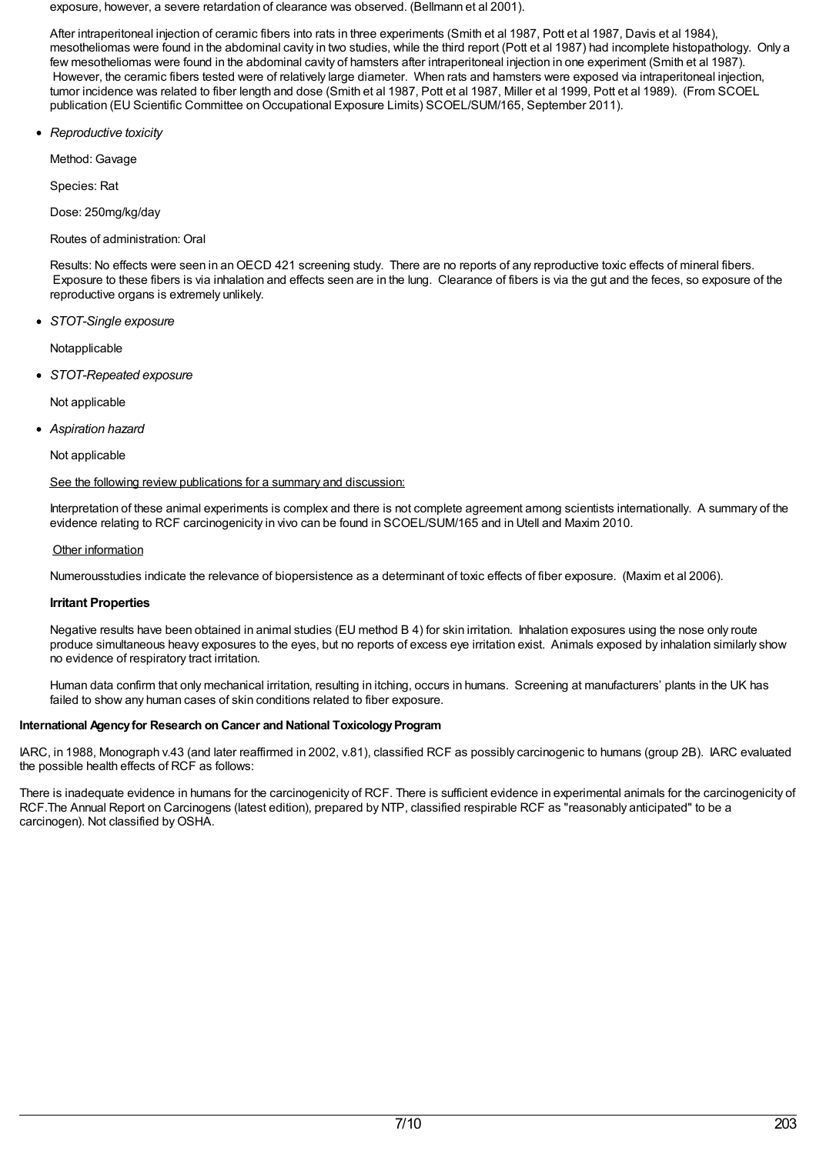exposure, however, a severe retardation of clearance was observed. (Bellmann et al 2001).

After intraperitoneal injection of ceramic fibers into rats in three experiments (Smith et al 1987, Pott et al 1987, Davis et al 1984), mesotheliomas were found in the abdominal cavity in two studies, while the third report (Pott et al 1987) had incomplete histopathology. Only a few mesotheliomas were found in the abdominal cavity of hamsters after intraperitoneal injection in one experiment (Smith et al 1987). However, the ceramic fibers tested were of relatively large diameter. When rats and hamsters were exposed via intraperitoneal injection, tumor incidence was related to fiber length and dose (Smith et al 1987, Pott et al 1987, Miller et al 1999, Pott et al 1989). (From SCOEL publication (EU Scientific Committee on Occupational Exposure Limits) SCOEL/SUM/165, September 2011).

*Reproductive toxicity*

Method: Gavage

Species: Rat

Dose: 250mg/kg/day

# Routes of administration: Oral

Results: No effects were seen in anOECD 421 screening study. There are no reports of any reproductive toxic effects of mineral fibers. Exposure to these fibers is via inhalation and effects seen are in the lung. Clearance of fibers is via the gut and the feces, so exposure of the reproductive organs is extremely unlikely.

*STOT-Single exposure*

Notapplicable

*STOT-Repeated exposure*

Not applicable

*Aspiration hazard*

Not applicable

# See the following review publications for a summary and discussion:

Interpretation of these animal experiments is complex and there is not complete agreement among scientists internationally. A summary of the evidence relating to RCF carcinogenicity in vivo can be found in SCOEL/SUM/165 and in Utell and Maxim 2010.

# Other information

Numerousstudies indicate the relevance of biopersistence as a determinant of toxic effects of fiber exposure. (Maxim et al 2006).

# **Irritant Properties**

Negative results have been obtained in animal studies (EU method B 4) for skin irritation. Inhalation exposures using the nose only route produce simultaneous heavy exposures to the eyes, but no reports of excess eye irritation exist. Animals exposed by inhalation similarly show no evidence of respiratory tract irritation.

Human data confirm that only mechanical irritation, resulting in itching, occurs in humans. Screening at manufacturers' plants in the UK has failed to show any human cases of skin conditions related to fiber exposure.

# **International Agencyfor Research on Cancer and National ToxicologyProgram**

IARC, in 1988, Monograph v.43 (and later reaffirmed in 2002, v.81), classified RCF as possibly carcinogenic to humans (group 2B). IARC evaluated the possible health effects of RCF as follows:

There is inadequate evidence in humans for the carcinogenicity of RCF. There is sufficient evidence in experimental animals for the carcinogenicity of RCF.The Annual Report on Carcinogens (latest edition), prepared by NTP, classified respirable RCF as "reasonably anticipated" to be a carcinogen). Not classified byOSHA.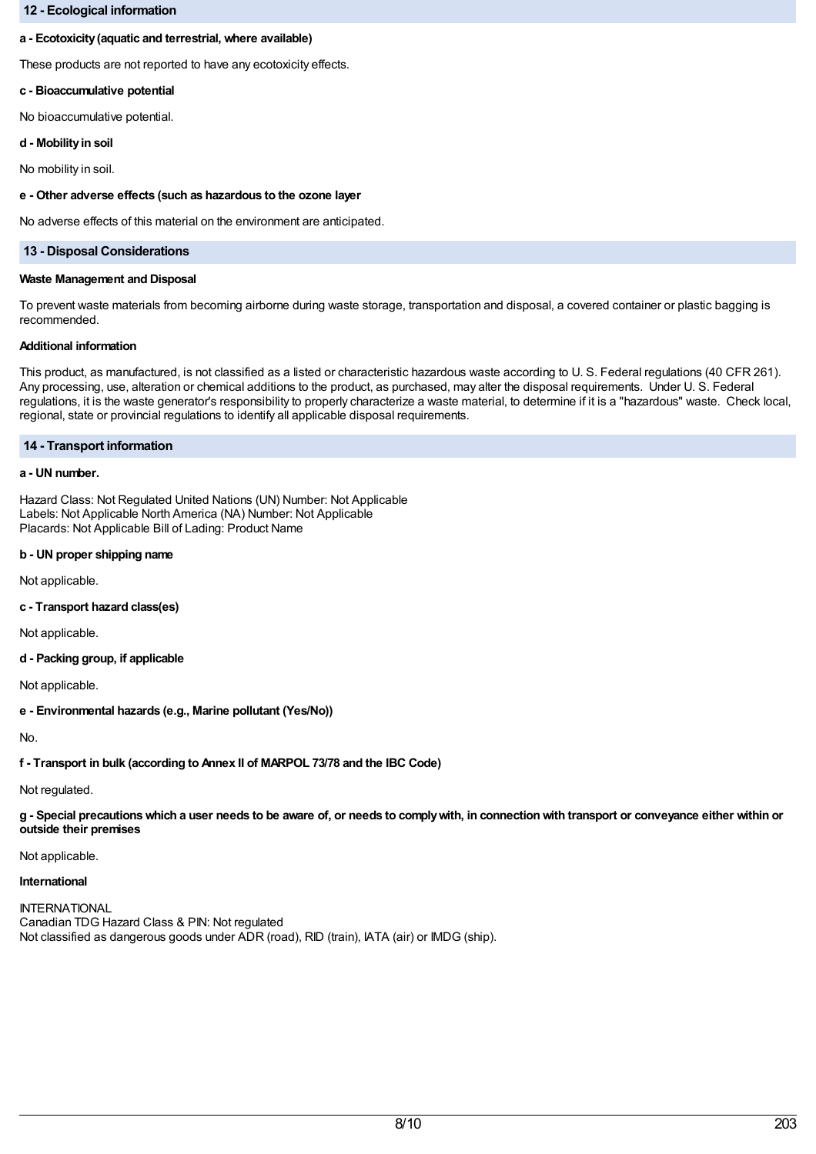## **12 - Ecological information**

## **a - Ecotoxicity(aquatic and terrestrial, where available)**

These products are not reported to have any ecotoxicity effects.

## **c - Bioaccumulative potential**

No bioaccumulative potential.

## **d - Mobilityin soil**

No mobility in soil.

## **e - Other adverse effects (such as hazardous to the ozone layer**

No adverse effects of this material on the environment are anticipated.

## **13 - Disposal Considerations**

#### **Waste Management and Disposal**

To prevent waste materials from becoming airborne during waste storage, transportation and disposal, a covered container or plastic bagging is recommended.

#### **Additional information**

This product, as manufactured, is not classified as a listed or characteristic hazardous waste according to U. S. Federal regulations (40 CFR 261). Any processing, use, alteration or chemical additions to the product, as purchased, may alter the disposal requirements. Under U. S. Federal regulations, it is the waste generator's responsibility to properly characterize a waste material, to determine if it is a "hazardous" waste. Check local, regional, state or provincial regulations to identify all applicable disposal requirements.

## **14 - Transport information**

## **a - UN number.**

Hazard Class: Not Regulated United Nations (UN) Number: Not Applicable Labels: Not Applicable North America (NA) Number: Not Applicable Placards: Not Applicable Bill of Lading: Product Name

# **b - UN proper shipping name**

Not applicable.

**c - Transport hazard class(es)**

Not applicable.

**d - Packing group, if applicable**

Not applicable.

**e - Environmental hazards (e.g., Marine pollutant (Yes/No))**

No.

**f - Transport in bulk (according to Annex II of MARPOL 73/78 and the IBC Code)**

Not regulated.

g - Special precautions which a user needs to be aware of, or needs to comply with, in connection with transport or conveyance either within or **outside their premises**

Not applicable.

# **International**

**INTERNATIONAL** Canadian TDG Hazard Class & PIN: Not regulated Not classified as dangerous goods under ADR (road), RID (train), IATA (air) or IMDG (ship).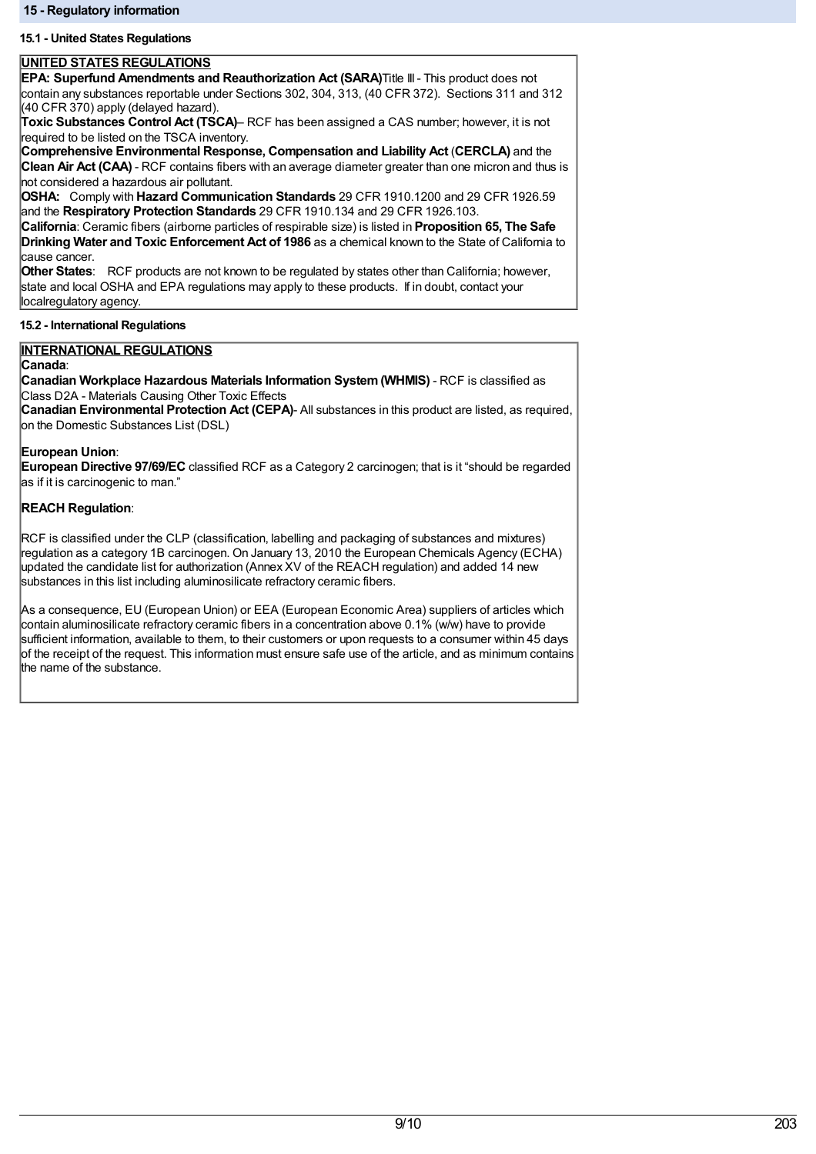# **15.1 - United States Regulations**

# **UNITED STATES REGULATIONS**

**EPA: Superfund Amendments and Reauthorization Act (SARA)**Title III- This product does not contain any substances reportable under Sections 302, 304, 313, (40 CFR 372). Sections 311 and 312 (40 CFR 370) apply (delayed hazard).

**Toxic Substances Control Act (TSCA)**– RCF has been assigned a CAS number; however, it is not required to be listed on the TSCA inventory.

**Comprehensive Environmental Response, Compensation and Liability Act** (**CERCLA)** and the **Clean Air Act (CAA)** - RCF contains fibers with an average diameter greater than one micron and thus is not considered a hazardous air pollutant.

**OSHA:** Comply with **Hazard Communication Standards** 29 CFR 1910.1200 and 29 CFR 1926.59 and the **Respiratory Protection Standards** 29 CFR 1910.134 and 29 CFR 1926.103.

**California**: Ceramic fibers (airborne particles of respirable size) is listed in **Proposition 65, The Safe Drinking Water and Toxic Enforcement Act of 1986** as a chemical known to the State of California to cause cancer.

**Other States**: RCF products are not known to be regulated by states other than California; however, state and local OSHA and EPA regulations may apply to these products. If in doubt, contact your localregulatory agency.

# **15.2 - International Regulations**

# **INTERNATIONAL REGULATIONS**

## **Canada**:

**Canadian Workplace Hazardous Materials Information System(WHMIS)** - RCF is classified as Class D2A - Materials Causing Other Toxic Effects

**Canadian Environmental Protection Act (CEPA)**- All substances in this product are listed, as required, on the Domestic Substances List (DSL)

## **European Union**:

**European Directive 97/69/EC** classified RCF as a Category 2 carcinogen; that is it "should be regarded as if it is carcinogenic to man."

# **REACH Regulation**:

RCF is classified under the CLP (classification, labelling and packaging of substances and mixtures) regulation as a category 1B carcinogen. On January 13, 2010 the European Chemicals Agency (ECHA) updated the candidate list for authorization (Annex XV of the REACH regulation) and added 14 new substances in this list including aluminosilicate refractory ceramic fibers.

As a consequence, EU (European Union) or EEA (European Economic Area) suppliers of articles which contain aluminosilicate refractory ceramic fibers in a concentration above 0.1% (w/w) have to provide sufficient information, available to them, to their customers or upon requests to a consumer within 45 days of the receipt of the request. This information must ensure safe use of the article, and as minimum contains the name of the substance.